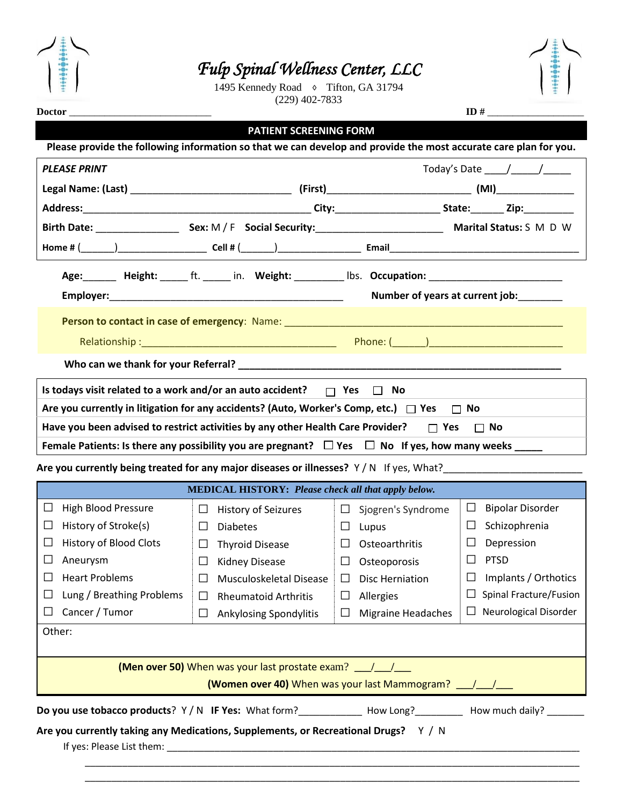

## *Fulp Spinal Wellness Center, LLC*

1495 Kennedy Road ♦ Tifton, GA 31794 (229) 402-7833



**Doctor** \_\_\_\_\_\_\_\_\_\_\_\_\_\_\_\_\_\_\_\_\_\_\_\_\_\_\_\_ **ID #** \_\_\_\_\_\_\_\_\_\_\_\_\_\_\_\_\_\_\_

**PATIENT SCREENING FORM** 

| Please provide the following information so that we can develop and provide the most accurate care plan for you.                                                                                  |                                                                                                     |                              |                                                |  |  |  |  |  |
|---------------------------------------------------------------------------------------------------------------------------------------------------------------------------------------------------|-----------------------------------------------------------------------------------------------------|------------------------------|------------------------------------------------|--|--|--|--|--|
| <b>PLEASE PRINT</b>                                                                                                                                                                               |                                                                                                     |                              | Today's Date $\frac{1}{\sqrt{1-\frac{1}{2}}}\$ |  |  |  |  |  |
|                                                                                                                                                                                                   |                                                                                                     |                              |                                                |  |  |  |  |  |
|                                                                                                                                                                                                   |                                                                                                     |                              |                                                |  |  |  |  |  |
|                                                                                                                                                                                                   |                                                                                                     |                              |                                                |  |  |  |  |  |
|                                                                                                                                                                                                   |                                                                                                     |                              |                                                |  |  |  |  |  |
|                                                                                                                                                                                                   | Age: Height: _____ ft. _____ in. Weight: _________ lbs. Occupation: _______________________________ |                              |                                                |  |  |  |  |  |
| Number of years at current job:                                                                                                                                                                   |                                                                                                     |                              |                                                |  |  |  |  |  |
|                                                                                                                                                                                                   |                                                                                                     |                              |                                                |  |  |  |  |  |
|                                                                                                                                                                                                   |                                                                                                     |                              |                                                |  |  |  |  |  |
|                                                                                                                                                                                                   |                                                                                                     |                              |                                                |  |  |  |  |  |
| Is todays visit related to a work and/or an auto accident? $\Box$ Yes $\Box$ No                                                                                                                   |                                                                                                     |                              |                                                |  |  |  |  |  |
| Are you currently in litigation for any accidents? (Auto, Worker's Comp, etc.) $\Box$ Yes $\Box$ No                                                                                               |                                                                                                     |                              |                                                |  |  |  |  |  |
| Have you been advised to restrict activities by any other Health Care Provider? $\Box$ Yes $\Box$ No                                                                                              |                                                                                                     |                              |                                                |  |  |  |  |  |
|                                                                                                                                                                                                   |                                                                                                     |                              |                                                |  |  |  |  |  |
| Female Patients: Is there any possibility you are pregnant? $\Box$ Yes $\Box$ No If yes, how many weeks _____                                                                                     |                                                                                                     |                              |                                                |  |  |  |  |  |
| Are you currently being treated for any major diseases or illnesses? Y/N If yes, What?                                                                                                            |                                                                                                     |                              |                                                |  |  |  |  |  |
|                                                                                                                                                                                                   | <b>MEDICAL HISTORY: Please check all that apply below.</b>                                          |                              |                                                |  |  |  |  |  |
| <b>High Blood Pressure</b><br>$\Box$                                                                                                                                                              | $\Box$<br>History of Seizures                                                                       | $\Box$<br>Sjogren's Syndrome | $\Box$<br><b>Bipolar Disorder</b>              |  |  |  |  |  |
| History of Stroke(s)<br>$\Box$                                                                                                                                                                    | <b>Diabetes</b><br>$\Box$                                                                           | Lupus<br>$\Box$              | Schizophrenia<br>$\Box$                        |  |  |  |  |  |
| <b>History of Blood Clots</b><br>⊔                                                                                                                                                                | <b>Thyroid Disease</b><br>$\Box$                                                                    | $\Box$<br>Osteoarthritis     | Depression<br>⊔                                |  |  |  |  |  |
| Aneurysm<br>⊔                                                                                                                                                                                     | Kidney Disease<br>$\Box$                                                                            | $\Box$<br>Osteoporosis       | <b>PTSD</b><br>⊔                               |  |  |  |  |  |
| <b>Heart Problems</b><br>$\Box$                                                                                                                                                                   | Musculoskeletal Disease<br>$\Box$                                                                   | <b>Disc Herniation</b><br>Ш  | Implants / Orthotics<br>$\Box$                 |  |  |  |  |  |
| $\Box$ Lung / Breathing Problems $\Box$ Rheumatoid Arthritis                                                                                                                                      |                                                                                                     | $\Box$ Allergies             | $\Box$ Spinal Fracture/Fusion                  |  |  |  |  |  |
| Cancer / Tumor<br>ப                                                                                                                                                                               | <b>Ankylosing Spondylitis</b><br>$\Box$                                                             | <b>Migraine Headaches</b>    | Neurological Disorder<br>⊔                     |  |  |  |  |  |
| Other:                                                                                                                                                                                            |                                                                                                     |                              |                                                |  |  |  |  |  |
|                                                                                                                                                                                                   |                                                                                                     |                              |                                                |  |  |  |  |  |
|                                                                                                                                                                                                   | <b>(Men over 50)</b> When was your last prostate exam? __/__/__                                     |                              |                                                |  |  |  |  |  |
|                                                                                                                                                                                                   | (Women over 40) When was your last Mammogram? 1/1/1                                                 |                              |                                                |  |  |  |  |  |
|                                                                                                                                                                                                   |                                                                                                     |                              |                                                |  |  |  |  |  |
|                                                                                                                                                                                                   |                                                                                                     |                              |                                                |  |  |  |  |  |
|                                                                                                                                                                                                   |                                                                                                     |                              |                                                |  |  |  |  |  |
| Do you use tobacco products? Y / N IF Yes: What form?____________ How Long?________ How much daily? ______<br>Are you currently taking any Medications, Supplements, or Recreational Drugs? Y / N |                                                                                                     |                              |                                                |  |  |  |  |  |